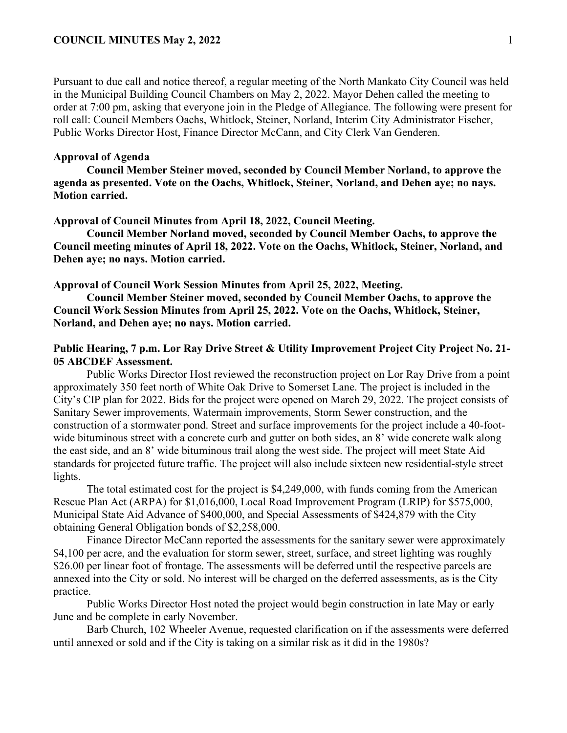Pursuant to due call and notice thereof, a regular meeting of the North Mankato City Council was held in the Municipal Building Council Chambers on May 2, 2022. Mayor Dehen called the meeting to order at 7:00 pm, asking that everyone join in the Pledge of Allegiance. The following were present for roll call: Council Members Oachs, Whitlock, Steiner, Norland, Interim City Administrator Fischer, Public Works Director Host, Finance Director McCann, and City Clerk Van Genderen.

### **Approval of Agenda**

**Council Member Steiner moved, seconded by Council Member Norland, to approve the agenda as presented. Vote on the Oachs, Whitlock, Steiner, Norland, and Dehen aye; no nays. Motion carried.** 

#### **Approval of Council Minutes from April 18, 2022, Council Meeting.**

**Council Member Norland moved, seconded by Council Member Oachs, to approve the Council meeting minutes of April 18, 2022. Vote on the Oachs, Whitlock, Steiner, Norland, and Dehen aye; no nays. Motion carried.** 

**Approval of Council Work Session Minutes from April 25, 2022, Meeting.**

**Council Member Steiner moved, seconded by Council Member Oachs, to approve the Council Work Session Minutes from April 25, 2022. Vote on the Oachs, Whitlock, Steiner, Norland, and Dehen aye; no nays. Motion carried.** 

### **Public Hearing, 7 p.m. Lor Ray Drive Street & Utility Improvement Project City Project No. 21- 05 ABCDEF Assessment.**

Public Works Director Host reviewed the reconstruction project on Lor Ray Drive from a point approximately 350 feet north of White Oak Drive to Somerset Lane. The project is included in the City's CIP plan for 2022. Bids for the project were opened on March 29, 2022. The project consists of Sanitary Sewer improvements, Watermain improvements, Storm Sewer construction, and the construction of a stormwater pond. Street and surface improvements for the project include a 40-footwide bituminous street with a concrete curb and gutter on both sides, an 8' wide concrete walk along the east side, and an 8' wide bituminous trail along the west side. The project will meet State Aid standards for projected future traffic. The project will also include sixteen new residential-style street lights.

The total estimated cost for the project is \$4,249,000, with funds coming from the American Rescue Plan Act (ARPA) for \$1,016,000, Local Road Improvement Program (LRIP) for \$575,000, Municipal State Aid Advance of \$400,000, and Special Assessments of \$424,879 with the City obtaining General Obligation bonds of \$2,258,000.

Finance Director McCann reported the assessments for the sanitary sewer were approximately \$4,100 per acre, and the evaluation for storm sewer, street, surface, and street lighting was roughly \$26.00 per linear foot of frontage. The assessments will be deferred until the respective parcels are annexed into the City or sold. No interest will be charged on the deferred assessments, as is the City practice.

Public Works Director Host noted the project would begin construction in late May or early June and be complete in early November.

Barb Church, 102 Wheeler Avenue, requested clarification on if the assessments were deferred until annexed or sold and if the City is taking on a similar risk as it did in the 1980s?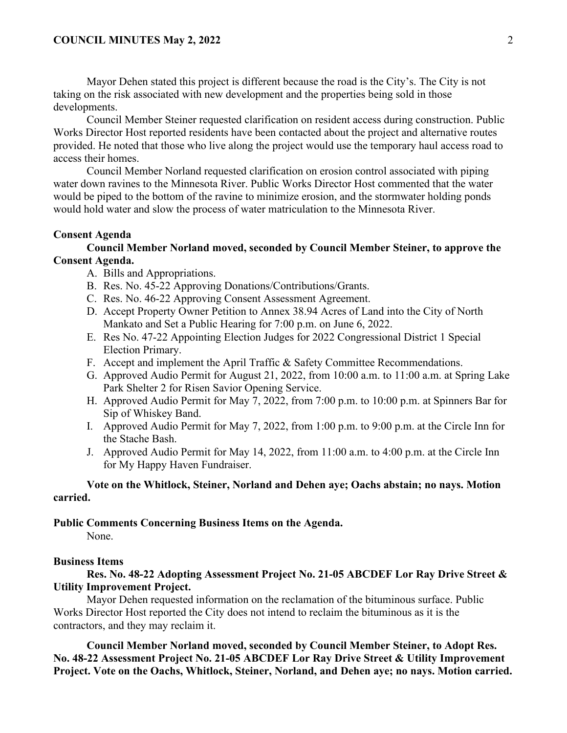Mayor Dehen stated this project is different because the road is the City's. The City is not taking on the risk associated with new development and the properties being sold in those developments.

Council Member Steiner requested clarification on resident access during construction. Public Works Director Host reported residents have been contacted about the project and alternative routes provided. He noted that those who live along the project would use the temporary haul access road to access their homes.

Council Member Norland requested clarification on erosion control associated with piping water down ravines to the Minnesota River. Public Works Director Host commented that the water would be piped to the bottom of the ravine to minimize erosion, and the stormwater holding ponds would hold water and slow the process of water matriculation to the Minnesota River.

#### **Consent Agenda**

### **Council Member Norland moved, seconded by Council Member Steiner, to approve the Consent Agenda.**

- A. Bills and Appropriations.
- B. Res. No. 45-22 Approving Donations/Contributions/Grants.
- C. Res. No. 46-22 Approving Consent Assessment Agreement.
- D. Accept Property Owner Petition to Annex 38.94 Acres of Land into the City of North Mankato and Set a Public Hearing for 7:00 p.m. on June 6, 2022.
- E. Res No. 47-22 Appointing Election Judges for 2022 Congressional District 1 Special Election Primary.
- F. Accept and implement the April Traffic & Safety Committee Recommendations.
- G. Approved Audio Permit for August 21, 2022, from 10:00 a.m. to 11:00 a.m. at Spring Lake Park Shelter 2 for Risen Savior Opening Service.
- H. Approved Audio Permit for May 7, 2022, from 7:00 p.m. to 10:00 p.m. at Spinners Bar for Sip of Whiskey Band.
- I. Approved Audio Permit for May 7, 2022, from 1:00 p.m. to 9:00 p.m. at the Circle Inn for the Stache Bash.
- J. Approved Audio Permit for May 14, 2022, from 11:00 a.m. to 4:00 p.m. at the Circle Inn for My Happy Haven Fundraiser.

# **Vote on the Whitlock, Steiner, Norland and Dehen aye; Oachs abstain; no nays. Motion carried.**

### **Public Comments Concerning Business Items on the Agenda.**

None.

#### **Business Items**

**Res. No. 48-22 Adopting Assessment Project No. 21-05 ABCDEF Lor Ray Drive Street & Utility Improvement Project.** 

Mayor Dehen requested information on the reclamation of the bituminous surface. Public Works Director Host reported the City does not intend to reclaim the bituminous as it is the contractors, and they may reclaim it.

**Council Member Norland moved, seconded by Council Member Steiner, to Adopt Res. No. 48-22 Assessment Project No. 21-05 ABCDEF Lor Ray Drive Street & Utility Improvement Project. Vote on the Oachs, Whitlock, Steiner, Norland, and Dehen aye; no nays. Motion carried.**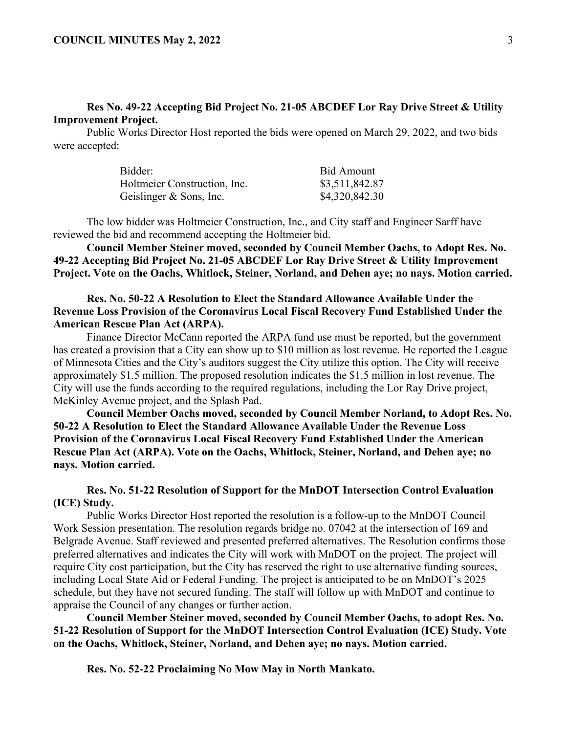## **Res No. 49-22 Accepting Bid Project No. 21-05 ABCDEF Lor Ray Drive Street & Utility Improvement Project.**

Public Works Director Host reported the bids were opened on March 29, 2022, and two bids were accepted:

| Bidder:                      | Bid Amount     |
|------------------------------|----------------|
| Holtmeier Construction, Inc. | \$3,511,842.87 |
| Geislinger & Sons, Inc.      | \$4,320,842.30 |

The low bidder was Holtmeier Construction, Inc., and City staff and Engineer Sarff have reviewed the bid and recommend accepting the Holtmeier bid.

**Council Member Steiner moved, seconded by Council Member Oachs, to Adopt Res. No. 49-22 Accepting Bid Project No. 21-05 ABCDEF Lor Ray Drive Street & Utility Improvement Project. Vote on the Oachs, Whitlock, Steiner, Norland, and Dehen aye; no nays. Motion carried.** 

### **Res. No. 50-22 A Resolution to Elect the Standard Allowance Available Under the Revenue Loss Provision of the Coronavirus Local Fiscal Recovery Fund Established Under the American Rescue Plan Act (ARPA).**

Finance Director McCann reported the ARPA fund use must be reported, but the government has created a provision that a City can show up to \$10 million as lost revenue. He reported the League of Minnesota Cities and the City's auditors suggest the City utilize this option. The City will receive approximately \$1.5 million. The proposed resolution indicates the \$1.5 million in lost revenue. The City will use the funds according to the required regulations, including the Lor Ray Drive project, McKinley Avenue project, and the Splash Pad.

**Council Member Oachs moved, seconded by Council Member Norland, to Adopt Res. No. 50-22 A Resolution to Elect the Standard Allowance Available Under the Revenue Loss Provision of the Coronavirus Local Fiscal Recovery Fund Established Under the American Rescue Plan Act (ARPA). Vote on the Oachs, Whitlock, Steiner, Norland, and Dehen aye; no nays. Motion carried.** 

## **Res. No. 51-22 Resolution of Support for the MnDOT Intersection Control Evaluation (ICE) Study.**

Public Works Director Host reported the resolution is a follow-up to the MnDOT Council Work Session presentation. The resolution regards bridge no. 07042 at the intersection of 169 and Belgrade Avenue. Staff reviewed and presented preferred alternatives. The Resolution confirms those preferred alternatives and indicates the City will work with MnDOT on the project. The project will require City cost participation, but the City has reserved the right to use alternative funding sources, including Local State Aid or Federal Funding. The project is anticipated to be on MnDOT's 2025 schedule, but they have not secured funding. The staff will follow up with MnDOT and continue to appraise the Council of any changes or further action.

**Council Member Steiner moved, seconded by Council Member Oachs, to adopt Res. No. 51-22 Resolution of Support for the MnDOT Intersection Control Evaluation (ICE) Study. Vote on the Oachs, Whitlock, Steiner, Norland, and Dehen aye; no nays. Motion carried.** 

**Res. No. 52-22 Proclaiming No Mow May in North Mankato.**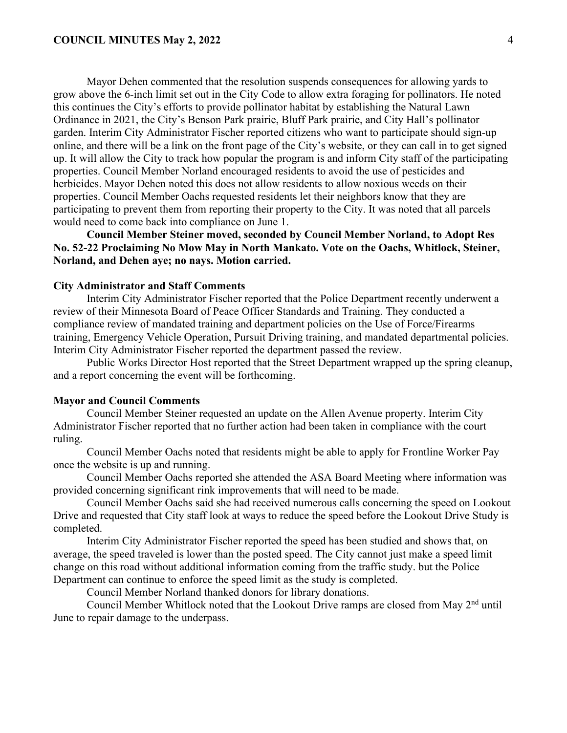#### **COUNCIL MINUTES May 2, 2022** 4

Mayor Dehen commented that the resolution suspends consequences for allowing yards to grow above the 6-inch limit set out in the City Code to allow extra foraging for pollinators. He noted this continues the City's efforts to provide pollinator habitat by establishing the Natural Lawn Ordinance in 2021, the City's Benson Park prairie, Bluff Park prairie, and City Hall's pollinator garden. Interim City Administrator Fischer reported citizens who want to participate should sign-up online, and there will be a link on the front page of the City's website, or they can call in to get signed up. It will allow the City to track how popular the program is and inform City staff of the participating properties. Council Member Norland encouraged residents to avoid the use of pesticides and herbicides. Mayor Dehen noted this does not allow residents to allow noxious weeds on their properties. Council Member Oachs requested residents let their neighbors know that they are participating to prevent them from reporting their property to the City. It was noted that all parcels would need to come back into compliance on June 1.

**Council Member Steiner moved, seconded by Council Member Norland, to Adopt Res No. 52-22 Proclaiming No Mow May in North Mankato. Vote on the Oachs, Whitlock, Steiner, Norland, and Dehen aye; no nays. Motion carried.**

#### **City Administrator and Staff Comments**

Interim City Administrator Fischer reported that the Police Department recently underwent a review of their Minnesota Board of Peace Officer Standards and Training. They conducted a compliance review of mandated training and department policies on the Use of Force/Firearms training, Emergency Vehicle Operation, Pursuit Driving training, and mandated departmental policies. Interim City Administrator Fischer reported the department passed the review.

Public Works Director Host reported that the Street Department wrapped up the spring cleanup, and a report concerning the event will be forthcoming.

### **Mayor and Council Comments**

Council Member Steiner requested an update on the Allen Avenue property. Interim City Administrator Fischer reported that no further action had been taken in compliance with the court ruling.

Council Member Oachs noted that residents might be able to apply for Frontline Worker Pay once the website is up and running.

Council Member Oachs reported she attended the ASA Board Meeting where information was provided concerning significant rink improvements that will need to be made.

Council Member Oachs said she had received numerous calls concerning the speed on Lookout Drive and requested that City staff look at ways to reduce the speed before the Lookout Drive Study is completed.

Interim City Administrator Fischer reported the speed has been studied and shows that, on average, the speed traveled is lower than the posted speed. The City cannot just make a speed limit change on this road without additional information coming from the traffic study. but the Police Department can continue to enforce the speed limit as the study is completed.

Council Member Norland thanked donors for library donations.

Council Member Whitlock noted that the Lookout Drive ramps are closed from May 2nd until June to repair damage to the underpass.